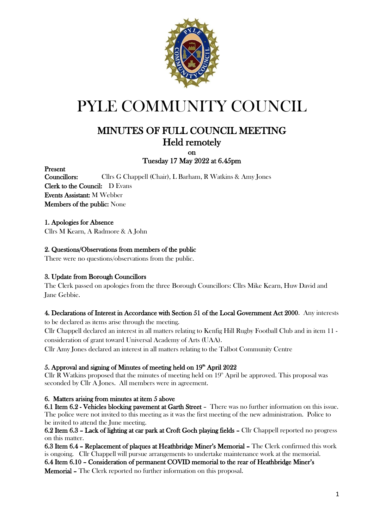

# PYLE COMMUNITY COUNCIL

## MINUTES OF FULL COUNCIL MEETING Held remotely

#### on Tuesday 17 May 2022 at 6.45pm

Present

Councillors: Cllrs G Chappell (Chair), L Barham, R Watkins & Amy Jones Clerk to the Council: D Evans Events Assistant: M Webber Members of the public: None

#### 1. Apologies for Absence

Cllrs M Kearn, A Radmore & A John

#### 2. Questions/Observations from members of the public

There were no questions/observations from the public.

#### 3. Update from Borough Councillors

The Clerk passed on apologies from the three Borough Councillors: Cllrs Mike Kearn, Huw David and Jane Gebbie.

#### 4. Declarations of Interest in Accordance with Section 51 of the Local Government Act 2000. Any interests

to be declared as items arise through the meeting.

Cllr Chappell declared an interest in all matters relating to Kenfig Hill Rugby Football Club and in item 11 consideration of grant toward Universal Academy of Arts (UAA).

Cllr Amy Jones declared an interest in all matters relating to the Talbot Community Centre

#### 5. Approval and signing of Minutes of meeting held on 19<sup>th</sup> April 2022

Cllr R Watkins proposed that the minutes of meeting held on  $19<sup>th</sup>$  April be approved. This proposal was seconded by Cllr A Jones. All members were in agreement.

#### 6. Matters arising from minutes at item 5 above

6.1 Item 6.2 - Vehicles blocking pavement at Garth Street – There was no further information on this issue. The police were not invited to this meeting as it was the first meeting of the new administration. Police to be invited to attend the June meeting.

6.2 Item 6.3 – Lack of lighting at car park at Croft Goch playing fields – Cllr Chappell reported no progress on this matter.

6.3 Item 6.4 – Replacement of plaques at Heathbridge Miner's Memorial – The Clerk confirmed this work is ongoing. Cllr Chappell will pursue arrangements to undertake maintenance work at the memorial. 6.4 Item 6.10 – Consideration of permanent COVID memorial to the rear of Heathbridge Miner's

Memorial – The Clerk reported no further information on this proposal.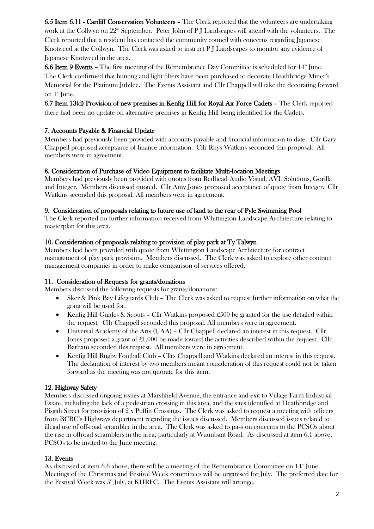6.5 Item 6.11 - Cardiff Conservation Volunteers – The Clerk reported that the volunteers are undertaking work at the Collwyn on  $22<sup>nd</sup>$  September. Peter John of P J Landscapes will attend with the volunteers. The Clerk reported that a resident has contacted the community council with concerns regarding Japanese Knotweed at the Collwyn. The Clerk was asked to instruct P J Landscapes to monitor any evidence of Japanese Knotweed in the area.

6.6 Item 9 Events – The first meeting of the Remembrance Day Committee is scheduled for  $14<sup>th</sup>$  June. The Clerk confirmed that bunting and light filters have been purchased to decorate Heathbridge Miner's Memorial for the Platinum Jubilee. The Events Assistant and Cllr Chappell will take the decorating forward on  $1^{\circ}$  June.

6.7 Item 13(d) Provision of new premises in Kenfig Hill for Royal Air Force Cadets – The Clerk reported there had been no update on alternative premises in Kenfig Hill being identified for the Cadets.

#### 7. Accounts Payable & Financial Update

Members had previously been provided with accounts payable and financial information to date. Cllr Gary Chappell proposed acceptance of finance information. Cllr Rhys Watkins seconded this proposal. All members were in agreement.

#### 8. Consideration of Purchase of Video Equipment to facilitate Multi-location Meetings

Members had previously been provided with quotes from Redhead Audio Visual, AVL Solutions, Gorilla and Integer. Members discussed quoted. Cllr Amy Jones proposed acceptance of quote from Integer. Cllr Watkins seconded this proposal. All members were in agreement.

#### 9. Consideration of proposals relating to future use of land to the rear of Pyle Swimming Pool

The Clerk reported no further information received from Whittington Landscape Architecture relating to masterplan for this area.

#### 10. Consideration of proposals relating to provision of play park at Ty Talwyn

Members had been provided with quote from Whittington Landscape Architecture for contract management of play park provision. Members discussed. The Clerk was asked to explore other contract management companies in order to make comparison of services offered.

#### 11. Consideration of Requests for grants/donations

Members discussed the following requests for grants/donations:

- Sker & Pink Bay Lifeguards Club The Clerk was asked to request further information on what the grant will be used for.
- Kenfig Hill Guides & Scouts Cllr Watkins proposed £500 be granted for the use detailed within the request. Cllr Chappell seconded this proposal. All members were in agreement.
- Universal Academy of the Arts (UAA) Cllr Chappell declared an interest in this request. Cllr Jones proposed a grant of  $\text{\pounds}1,000$  be made toward the activities described within the request. Cllr Barham seconded this request. All members were in agreement.
- Kenfig Hill Rugby Football Club Cllrs Chappell and Watkins declared an interest in this request. The declaration of interest by two members meant consideration of this request could not be taken forward as the meeting was not quorate for this item.

#### 12. Highway Safety

Members discussed ongoing issues at Marshfield Avenue, the entrance and exit to Village Farm Industrial Estate, including the lack of a pedestrian crossing in this area, and the sites identified at Heathbridge and Pisgah Street for provision of 2 x Puffin Crossings. The Clerk was asked to request a meeting with officers from BCBC's Highways department regarding the issues discussed. Members discussed issues related to illegal use of off-road scrambler in the area. The Clerk was asked to pass on concerns to the PCSOs about the rise in offroad scramblers in the area, particularly at Waunbant Road. As discussed at item 6.1 above, PCSOs to be invited to the June meeting.

#### 13. Events

As discussed at item 6.6 above, there will be a meeting of the Remembrance Committee on  $14^{\text{th}}$  June. Meetings of the Christmas and Festival Week committees will be organised for July. The preferred date for the Festival Week was  $5^{\text{th}}$  July, at KHRFC. The Events Assistant will arrange.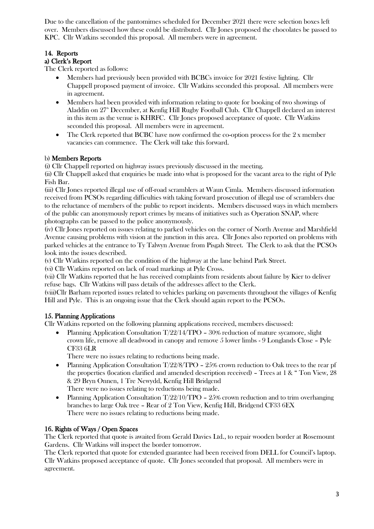Due to the cancellation of the pantomimes scheduled for December 2021 there were selection boxes left over. Members discussed how these could be distributed. Cllr Jones proposed the chocolates be passed to KPC. Cllr Watkins seconded this proposal. All members were in agreement.

## 14. Reports

#### a) Clerk's Report

The Clerk reported as follows:

- Members had previously been provided with BCBCs invoice for 2021 festive lighting. Cllr Chappell proposed payment of invoice. Cllr Watkins seconded this proposal. All members were in agreement.
- Members had been provided with information relating to quote for booking of two showings of Aladdin on  $27<sup>th</sup>$  December, at Kenfig Hill Rugby Football Club. Cllr Chappell declared an interest in this item as the venue is KHRFC. Cllr Jones proposed acceptance of quote. Cllr Watkins seconded this proposal. All members were in agreement.
- The Clerk reported that BCBC have now confirmed the co-option process for the 2 x member vacancies can commence. The Clerk will take this forward.

#### b) Members Reports

(i) Cllr Chappell reported on highway issues previously discussed in the meeting.

(ii) Cllr Chappell asked that enquiries be made into what is proposed for the vacant area to the right of Pyle Fish Bar.

(iii) Cllr Jones reported illegal use of off-road scramblers at Waun Cimla. Members discussed information received from PCSOs regarding difficulties with taking forward prosecution of illegal use of scramblers due to the reluctance of members of the public to report incidents. Members discussed ways in which members of the public can anonymously report crimes by means of initiatives such as Operation SNAP, where photographs can be passed to the police anonymously.

(iv) Cllr Jones reported on issues relating to parked vehicles on the corner of North Avenue and Marshfield Avenue causing problems with vision at the junction in this area. Cllr Jones also reported on problems with parked vehicles at the entrance to Ty Talwyn Avenue from Pisgah Street. The Clerk to ask that the PCSOs look into the issues described.

(v) Cllr Watkins reported on the condition of the highway at the lane behind Park Street.

(vi) Cllr Watkins reported on lack of road markings at Pyle Cross.

(vii) Cllr Watkins reported that he has received complaints from residents about failure by Kier to deliver refuse bags. Cllr Watkins will pass details of the addresses affect to the Clerk.

(viii)Cllr Barham reported issues related to vehicles parking on pavements throughout the villages of Kenfig Hill and Pyle. This is an ongoing issue that the Clerk should again report to the PCSOs.

#### 15. Planning Applications

Cllr Watkins reported on the following planning applications received, members discussed:

• Planning Application Consultation T/22/14/TPO - 30% reduction of mature sycamore, slight crown life, remove all deadwood in canopy and remove 5 lower limbs - 9 Longlands Close – Pyle CF33 6LR

There were no issues relating to reductions being made.

- Planning Application Consultation  $T/22/8/TPO 25%$  crown reduction to Oak trees to the rear pf the properties (location clarified and amended description received) – Trees at 1 & " Ton View, 28 & 29 Bryn Onnen, 1 Tre Newydd, Kenfig Hill Bridgend There were no issues relating to reductions being made.
- Planning Application Consultation T/22/10/TPO 25% crown reduction and to trim overhanging branches to large Oak tree – Rear of 2 Ton View, Kenfig Hill, Bridgend CF33 6EX There were no issues relating to reductions being made.

#### 16. Rights of Ways / Open Spaces

The Clerk reported that quote is awaited from Gerald Davies Ltd., to repair wooden border at Rosemount Gardens. Cllr Watkins will inspect the border tomorrow.

The Clerk reported that quote for extended guarantee had been received from DELL for Council's laptop. Cllr Watkins proposed acceptance of quote. Cllr Jones seconded that proposal. All members were in agreement.